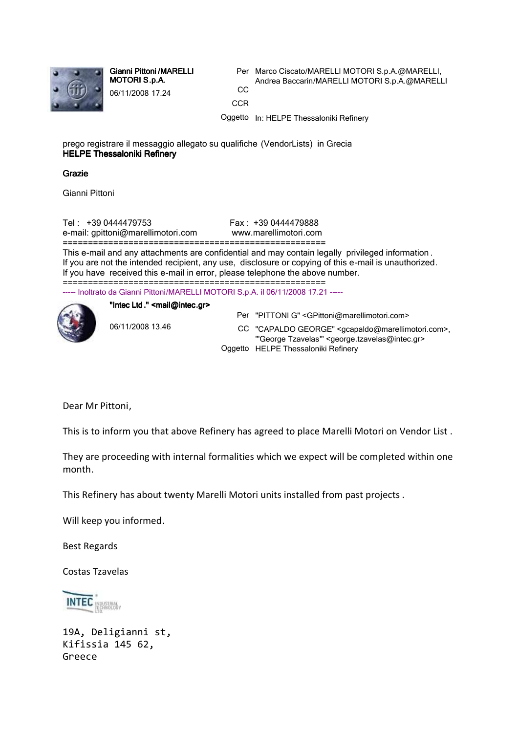

Gianni Pittoni /MARELLI MOTORI S.p.A. 06/11/2008 17.24

Per Marco Ciscato/MARELLI MOTORI S.p.A.@MARELLI, Andrea Baccarin/MARELLI MOTORI S.p.A.@MARELLI CC **CCR** 

Oggetto In: HELPE Thessaloniki Refinery

prego registrare il messaggio allegato su qualifiche (VendorLists) in Grecia HELPE Thessaloniki Refinery

## Grazie

Gianni Pittoni

Tel : +39 0444479753 Fax : +39 0444479888 e-mail: gpittoni@marellimotori.com www.marellimotori.com

====================================================

This e-mail and any attachments are confidential and may contain legally privileged information . If you are not the intended recipient, any use, disclosure or copying of this e-mail is unauthorized. If you have received this e-mail in error, please telephone the above number. ====================================================

----- Inoltrato da Gianni Pittoni/MARELLI MOTORI S.p.A. il 06/11/2008 17.21 -----



"Intec Ltd."  $\leq$ mail@intec.gr>

Per "PITTONI G" <GPittoni@marellimotori.com>

06/11/2008 13.46

CC "CAPALDO GEORGE" <gcapaldo@marellimotori.com>, "'George Tzavelas'" <george.tzavelas@intec.gr> Oggetto HELPE Thessaloniki Refinery

Dear Mr Pittoni,

This is to inform you that above Refinery has agreed to place Marelli Motori on Vendor List .

They are proceeding with internal formalities which we expect will be completed within one month.

This Refinery has about twenty Marelli Motori units installed from past projects .

Will keep you informed.

Best Regards

Costas Tzavelas



19A, Deligianni st, Kifissia 145 62, Greece